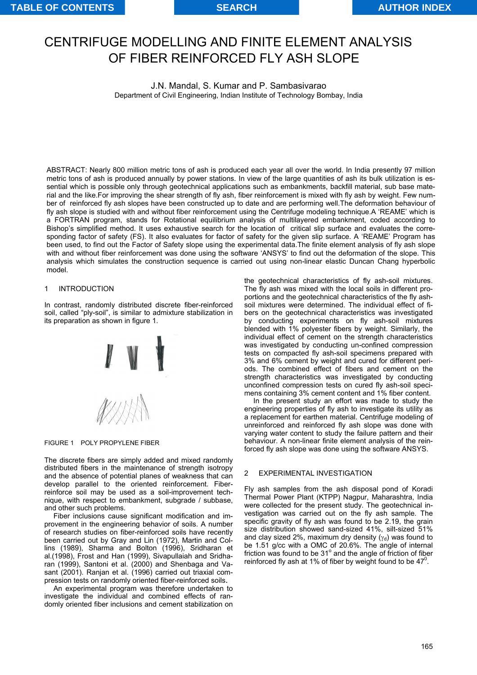# CENTRIFUGE MODELLING AND FINITE ELEMENT ANALYSIS OF FIBER REINFORCED FLY ASH SLOPE

J.N. Mandal, S. Kumar and P. Sambasivarao Department of Civil Engineering, Indian Institute of Technology Bombay, India

ABSTRACT: Nearly 800 million metric tons of ash is produced each year all over the world. In India presently 97 million metric tons of ash is produced annually by power stations. In view of the large quantities of ash its bulk utilization is essential which is possible only through geotechnical applications such as embankments, backfill material, sub base material and the like.For improving the shear strength of fly ash, fiber reinforcement is mixed with fly ash by weight. Few number of reinforced fly ash slopes have been constructed up to date and are performing well.The deformation behaviour of fly ash slope is studied with and without fiber reinforcement using the Centrifuge modeling technique.A 'REAME' which is a FORTRAN program, stands for Rotational equilibrium analysis of multilayered embankment, coded according to Bishop's simplified method. It uses exhaustive search for the location of critical slip surface and evaluates the corresponding factor of safety (FS). It also evaluates for factor of safety for the given slip surface. A 'REAME' Program has been used, to find out the Factor of Safety slope using the experimental data.The finite element analysis of fly ash slope with and without fiber reinforcement was done using the software 'ANSYS' to find out the deformation of the slope. This analysis which simulates the construction sequence is carried out using non-linear elastic Duncan Chang hyperbolic model.

#### 1 INTRODUCTION

In contrast, randomly distributed discrete fiber-reinforced soil, called "ply-soil", is similar to admixture stabilization in its preparation as shown in figure 1.



FIGURE 1 POLY PROPYLENE FIBER

The discrete fibers are simply added and mixed randomly distributed fibers in the maintenance of strength isotropy and the absence of potential planes of weakness that can develop parallel to the oriented reinforcement. Fiberreinforce soil may be used as a soil-improvement technique, with respect to embankment, subgrade / subbase, and other such problems.

Fiber inclusions cause significant modification and improvement in the engineering behavior of soils. A number of research studies on fiber-reinforced soils have recently been carried out by Gray and Lin (1972), Martin and Collins (1989), Sharma and Bolton (1996), Sridharan et al.(1998), Frost and Han (1999), Sivapullaiah and Sridharan (1999), Santoni et al. (2000) and Shenbaga and Vasant (2001). Ranjan et al. (1996) carried out triaxial compression tests on randomly oriented fiber-reinforced soils.

An experimental program was therefore undertaken to investigate the individual and combined effects of randomly oriented fiber inclusions and cement stabilization on the geotechnical characteristics of fly ash-soil mixtures. The fly ash was mixed with the local soils in different proportions and the geotechnical characteristics of the fly ashsoil mixtures were determined. The individual effect of fibers on the geotechnical characteristics was investigated by conducting experiments on fly ash-soil mixtures blended with 1% polyester fibers by weight. Similarly, the individual effect of cement on the strength characteristics was investigated by conducting un-confined compression tests on compacted fly ash-soil specimens prepared with 3% and 6% cement by weight and cured for different periods. The combined effect of fibers and cement on the strength characteristics was investigated by conducting unconfined compression tests on cured fly ash-soil specimens containing 3% cement content and 1% fiber content.

In the present study an effort was made to study the engineering properties of fly ash to investigate its utility as a replacement for earthen material. Centrifuge modeling of unreinforced and reinforced fly ash slope was done with varying water content to study the failure pattern and their behaviour. A non-linear finite element analysis of the reinforced fly ash slope was done using the software ANSYS.

#### 2 EXPERIMENTAL INVESTIGATION

Fly ash samples from the ash disposal pond of Koradi Thermal Power Plant (KTPP) Nagpur, Maharashtra, India were collected for the present study. The geotechnical investigation was carried out on the fly ash sample. The specific gravity of fly ash was found to be 2.19, the grain size distribution showed sand-sized 41%, silt-sized 51% and clay sized 2%, maximum dry density  $(y<sub>d</sub>)$  was found to be 1.51 g/cc with a OMC of 20.6%. The angle of internal friction was found to be 31° and the angle of friction of fiber reinforced fly ash at 1% of fiber by weight found to be  $47^0$ .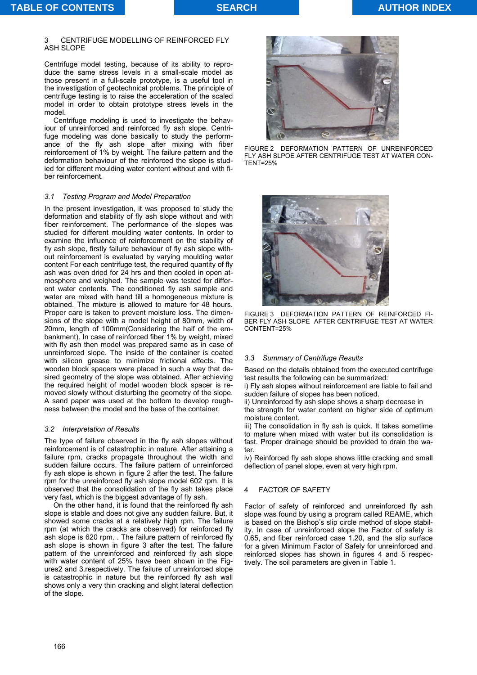#### CENTRIFUGE MODELLING OF REINFORCED FLY ASH SLOPE

Centrifuge model testing, because of its ability to reproduce the same stress levels in a small-scale model as those present in a full-scale prototype, is a useful tool in the investigation of geotechnical problems. The principle of centrifuge testing is to raise the acceleration of the scaled model in order to obtain prototype stress levels in the model.

Centrifuge modeling is used to investigate the behaviour of unreinforced and reinforced fly ash slope. Centrifuge modeling was done basically to study the performance of the fly ash slope after mixing with fiber reinforcement of 1% by weight. The failure pattern and the deformation behaviour of the reinforced the slope is studied for different moulding water content without and with fiber reinforcement.

## *3.1 Testing Program and Model Preparation*

In the present investigation, it was proposed to study the deformation and stability of fly ash slope without and with fiber reinforcement. The performance of the slopes was studied for different moulding water contents. In order to examine the influence of reinforcement on the stability of fly ash slope, firstly failure behaviour of fly ash slope without reinforcement is evaluated by varying moulding water content For each centrifuge test, the required quantity of fly ash was oven dried for 24 hrs and then cooled in open atmosphere and weighed. The sample was tested for different water contents. The conditioned fly ash sample and water are mixed with hand till a homogeneous mixture is obtained. The mixture is allowed to mature for 48 hours. Proper care is taken to prevent moisture loss. The dimensions of the slope with a model height of 80mm, width of 20mm, length of 100mm(Considering the half of the embankment). In case of reinforced fiber 1% by weight, mixed with fly ash then model was prepared same as in case of unreinforced slope. The inside of the container is coated with silicon grease to minimize frictional effects. The wooden block spacers were placed in such a way that desired geometry of the slope was obtained. After achieving the required height of model wooden block spacer is removed slowly without disturbing the geometry of the slope. A sand paper was used at the bottom to develop roughness between the model and the base of the container.

## *3.2 Interpretation of Results*

The type of failure observed in the fly ash slopes without reinforcement is of catastrophic in nature. After attaining a failure rpm, cracks propagate throughout the width and sudden failure occurs. The failure pattern of unreinforced fly ash slope is shown in figure 2 after the test. The failure rpm for the unreinforced fly ash slope model 602 rpm. It is observed that the consolidation of the fly ash takes place very fast, which is the biggest advantage of fly ash.

On the other hand, it is found that the reinforced fly ash slope is stable and does not give any sudden failure. But, it showed some cracks at a relatively high rpm. The failure rpm (at which the cracks are observed) for reinforced fly ash slope is 620 rpm. . The failure pattern of reinforced fly ash slope is shown in figure 3 after the test. The failure pattern of the unreinforced and reinforced fly ash slope with water content of 25% have been shown in the Figures2 and 3.respectively. The failure of unreinforced slope is catastrophic in nature but the reinforced fly ash wall shows only a very thin cracking and slight lateral deflection of the slope.



FIGURE 2 DEFORMATION PATTERN OF UNREINFORCED FLY ASH SLPOE AFTER CENTRIFUGE TEST AT WATER CON-TENT=25%



FIGURE 3 DEFORMATION PATTERN OF REINFORCED FI-BER FLY ASH SLOPE AFTER CENTRIFUGE TEST AT WATER CONTENT=25%

## *3.3 Summary of Centrifuge Results*

Based on the details obtained from the executed centrifuge test results the following can be summarized:

i) Fly ash slopes without reinforcement are liable to fail and sudden failure of slopes has been noticed.

ii) Unreinforced fly ash slope shows a sharp decrease in the strength for water content on higher side of optimum moisture content.

iii) The consolidation in fly ash is quick. It takes sometime to mature when mixed with water but its consolidation is fast. Proper drainage should be provided to drain the water.

iv) Reinforced fly ash slope shows little cracking and small deflection of panel slope, even at very high rpm.

## 4 FACTOR OF SAFETY

Factor of safety of reinforced and unreinforced fly ash slope was found by using a program called REAME, which is based on the Bishop's slip circle method of slope stability. In case of unreinforced slope the Factor of safety is 0.65, and fiber reinforced case 1.20, and the slip surface for a given Minimum Factor of Safely for unreinforced and reinforced slopes has shown in figures 4 and 5 respectively. The soil parameters are given in Table 1.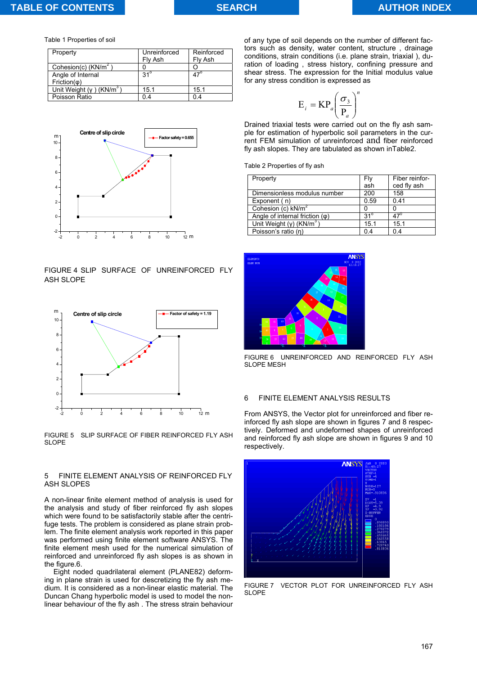Table 1 Properties of soil

| Property                               | Unreinforced<br>Fly Ash | Reinforced<br>Fly Ash |
|----------------------------------------|-------------------------|-----------------------|
| Cohesion(c) $(KN/m2)$                  |                         |                       |
| Angle of Internal<br>$Friction(\phi)$  | $31^\circ$              | $47^\circ$            |
| Unit Weight $(y)$ (KN/m <sup>3</sup> ) | 15.1                    | 15.1                  |
| Poisson Ratio                          | 0.4                     | 0.4                   |



## FIGURE 4 SLIP SURFACE OF UNREINFORCED FLY ASH SLOPE



FIGURE 5 SLIP SURFACE OF FIBER REINFORCED FLY ASH SLOPE

#### 5 FINITE ELEMENT ANALYSIS OF REINFORCED FLY ASH SLOPES

A non-linear finite element method of analysis is used for the analysis and study of fiber reinforced fly ash slopes which were found to be satisfactorily stable after the centrifuge tests. The problem is considered as plane strain problem. The finite element analysis work reported in this paper was performed using finite element software ANSYS. The finite element mesh used for the numerical simulation of reinforced and unreinforced fly ash slopes is as shown in the figure.6.

Eight noded quadrilateral element (PLANE82) deforming in plane strain is used for descretizing the fly ash medium. It is considered as a non-linear elastic material. The Duncan Chang hyperbolic model is used to model the nonlinear behaviour of the fly ash . The stress strain behaviour

of any type of soil depends on the number of different factors such as density, water content, structure , drainage conditions, strain conditions (i.e. plane strain, triaxial ), duration of loading , stress history, confining pressure and shear stress. The expression for the Initial modulus value for any stress condition is expressed as

$$
\mathbf{E}_{i} = \mathbf{K}\mathbf{P}_{a} \left(\frac{\sigma_{3}}{\mathbf{P}_{a}}\right)^{n}
$$

Drained triaxial tests were carried out on the fly ash sample for estimation of hyperbolic soil parameters in the current FEM simulation of unreinforced and fiber reinforced fly ash slopes. They are tabulated as shown inTable2.

Table 2 Properties of fly ash

| Property                                    | Fly        | Fiber reinfor- |
|---------------------------------------------|------------|----------------|
|                                             | ash        | ced fly ash    |
| Dimensionless modulus number                | 200        | 158            |
| Exponent (n)                                | 0.59       | 0.41           |
| Cohesion (c) $kN/m2$                        |            |                |
| Angle of internal friction $(\varphi)$      | $31^\circ$ | 47'            |
| Unit Weight ( $\gamma$ ) (KN/m <sup>3</sup> | 15.1       | 15.1           |
| Poisson's ratio (n)                         | 0.4        | 0.4            |



FIGURE 6 UNREINFORCED AND REINFORCED FLY ASH SLOPE MESH

#### 6 FINITE ELEMENT ANALYSIS RESULTS

From ANSYS, the Vector plot for unreinforced and fiber reinforced fly ash slope are shown in figures 7 and 8 respectively. Deformed and undeformed shapes of unreinforced and reinforced fly ash slope are shown in figures 9 and 10 respectively.



FIGURE 7 VECTOR PLOT FOR UNREINFORCED FLY ASH SLOPE